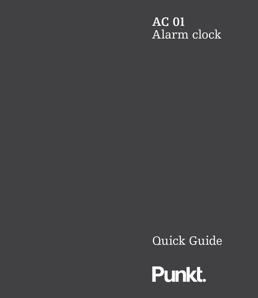# **AC 01** Alarm clock

Quick Guide

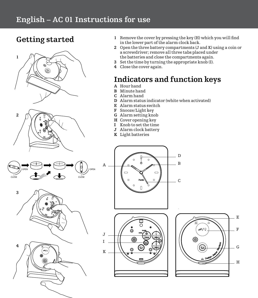### **English – AC 01 Instructions for use**

### **Getting started**









- **1** Remove the cover by pressing the key (H) which you will find in the lower part of the alarm clock back.
- **2** Open the three battery compartments (J and K) using a coin or a screwdriver; remove all three tabs placed under the batteries and close the compartments again.
- **3** Set the time by turning the appropriate knob (I).
- **4** Close the cover again.

### **Indicators and function keys**

- **A** Hour hand
- **B** Minute hand
- **C** Alarm hand
- **D** Alarm status indicator (white when activated)
- **E** Alarm status switch
- **F** Snooze/Light key
- **G** Alarm setting knob
- **H** Cover opening key<br>**I** Knob to set the time
- **I** Knob to set the time
- **J** Alarm clock battery
- **K** Light batteries